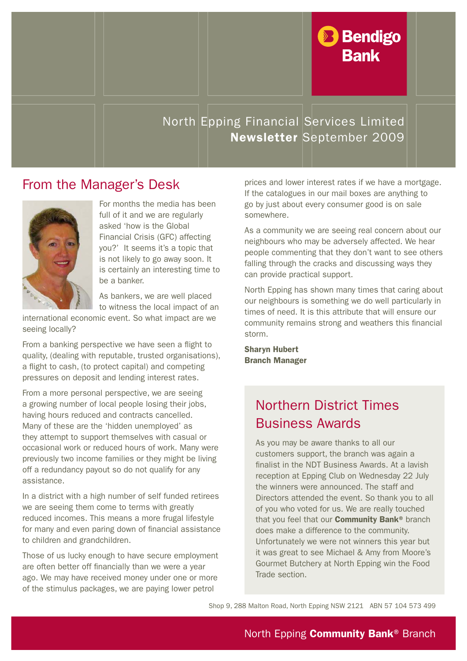

#### North Epping Financial Services Limited Newsletter September 2009

#### From the Manager's Desk



For months the media has been full of it and we are regularly asked 'how is the Global Financial Crisis (GFC) affecting you?' It seems it's a topic that is not likely to go away soon. It is certainly an interesting time to be a banker.

As bankers, we are well placed to witness the local impact of an

international economic event. So what impact are we seeing locally?

From a banking perspective we have seen a flight to quality, (dealing with reputable, trusted organisations), a flight to cash, (to protect capital) and competing pressures on deposit and lending interest rates.

From a more personal perspective, we are seeing a growing number of local people losing their jobs, having hours reduced and contracts cancelled. Many of these are the 'hidden unemployed' as they attempt to support themselves with casual or occasional work or reduced hours of work. Many were previously two income families or they might be living off a redundancy payout so do not qualify for any assistance.

In a district with a high number of self funded retirees we are seeing them come to terms with greatly reduced incomes. This means a more frugal lifestyle for many and even paring down of financial assistance to children and grandchildren.

Those of us lucky enough to have secure employment are often better off financially than we were a year ago. We may have received money under one or more of the stimulus packages, we are paying lower petrol

prices and lower interest rates if we have a mortgage. If the catalogues in our mail boxes are anything to go by just about every consumer good is on sale somewhere.

As a community we are seeing real concern about our neighbours who may be adversely affected. We hear people commenting that they don't want to see others falling through the cracks and discussing ways they can provide practical support.

North Epping has shown many times that caring about our neighbours is something we do well particularly in times of need. It is this attribute that will ensure our community remains strong and weathers this financial storm.

Sharyn Hubert Branch Manager

### Northern District Times Business Awards

As you may be aware thanks to all our customers support, the branch was again a finalist in the NDT Business Awards. At a lavish reception at Epping Club on Wednesday 22 July the winners were announced. The staff and Directors attended the event. So thank you to all of you who voted for us. We are really touched that you feel that our **Community Bank®** branch does make a difference to the community. Unfortunately we were not winners this year but it was great to see Michael & Amy from Moore's Gourmet Butchery at North Epping win the Food Trade section.

Shop 9, 288 Malton Road, North Epping NSW 2121 ABN 57 104 573 499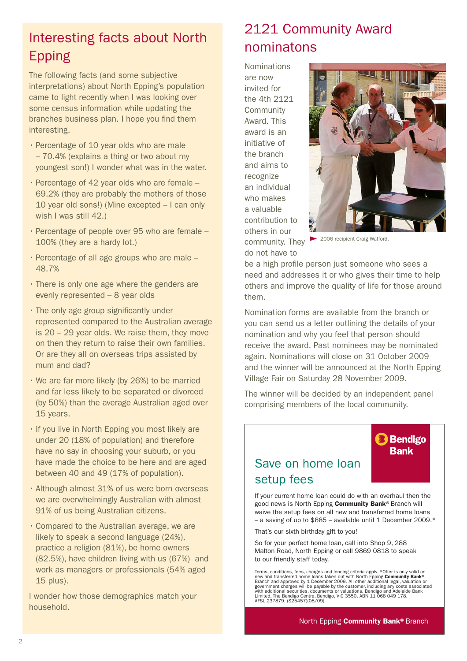# Interesting facts about North Epping

The following facts (and some subjective interpretations) about North Epping's population came to light recently when I was looking over some census information while updating the branches business plan. I hope you find them interesting.

- Percentage of 10 year olds who are male – 70.4% (explains a thing or two about my youngest son!) I wonder what was in the water.
- $\cdot$  Percentage of 42 year olds who are female 69.2% (they are probably the mothers of those 10 year old sons!) (Mine excepted – I can only wish I was still 42.)
- $\cdot$  Percentage of people over 95 who are female  $-$ 100% (they are a hardy lot.)
- $\cdot$  Percentage of all age groups who are male 48.7%
- · There is only one age where the genders are evenly represented – 8 year olds
- $\cdot$  The only age group significantly under represented compared to the Australian average is 20 – 29 year olds. We raise them, they move on then they return to raise their own families. Or are they all on overseas trips assisted by mum and dad?
- $\cdot$  We are far more likely (by 26%) to be married and far less likely to be separated or divorced (by 50%) than the average Australian aged over 15 years.
- If you live in North Epping you most likely are under 20 (18% of population) and therefore have no say in choosing your suburb, or you have made the choice to be here and are aged between 40 and 49 (17% of population).
- · Although almost 31% of us were born overseas we are overwhelmingly Australian with almost 91% of us being Australian citizens.
- $\cdot$  Compared to the Australian average, we are likely to speak a second language (24%), practice a religion (81%), be home owners (82.5%), have children living with us (67%) and work as managers or professionals (54% aged 15 plus).

I wonder how those demographics match your household.

## 2121 Community Award nominatons

Nominations are now invited for the 4th 2121 **Community** Award. This award is an initiative of the branch and aims to recognize an individual who makes a valuable contribution to others in our community. They do not have to



2006 recipient Craig Watford.

be a high profile person just someone who sees a need and addresses it or who gives their time to help others and improve the quality of life for those around them.

Nomination forms are available from the branch or you can send us a letter outlining the details of your nomination and why you feel that person should receive the award. Past nominees may be nominated again. Nominations will close on 31 October 2009 and the winner will be announced at the North Epping Village Fair on Saturday 28 November 2009.

The winner will be decided by an independent panel comprising members of the local community.



#### Save on home loan setup fees

If your current home loan could do with an overhaul then the good news is North Epping Community Bank® Branch will waive the setup fees on all new and transferred home loans – a saving of up to  $$685$  – available until 1 December 2009. $*$ 

That's our sixth birthday gift to you!

So for your perfect home loan, call into Shop 9, 288 Malton Road, North Epping or call 9869 0818 to speak to our friendly staff today.

Terms, conditions, fees, charges and lending criteria apply. \*Offer is only valid on<br>new and transferred home loans taken out with North Epping Community Bank®<br>Branch and approved by 1 December 2009. All other additional with additional securities, documents or valuations. Bendigo and Adelaide Bank Limited, The Bendigo Centre, Bendigo, VIC 3550. ABN 11 068 049 178. AFSL 237879. (S25457)(08/09)

#### North Epping Community Bank® Branch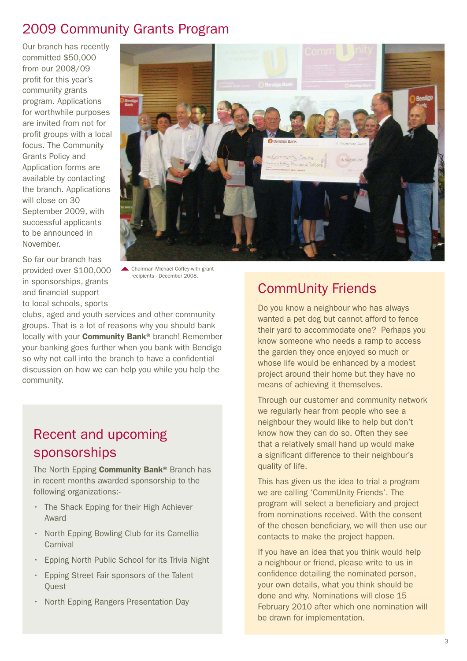#### 2009 Community Grants Program

Our branch has recently committed \$50,000 from our 2008/09 profit for this year's community grants program. Applications for worthwhile purposes are invited from not for profit groups with a local focus. The Community Grants Policy and Application forms are available by contacting the branch. Applications will close on 30 September 2009, with successful applicants to be announced in November.



So far our branch has provided over \$100,000 in sponsorships, grants and financial support to local schools, sports

Chairman Michael Coffey with grant recipients - December 2008.

clubs, aged and youth services and other community groups. That is a lot of reasons why you should bank locally with your **Community Bank®** branch! Remember your banking goes further when you bank with Bendigo so why not call into the branch to have a confidential discussion on how we can help you while you help the community.

#### Recent and upcoming sponsorships

The North Epping Community Bank<sup>®</sup> Branch has in recent months awarded sponsorship to the following organizations:-

- The Shack Epping for their High Achiever Award
- North Epping Bowling Club for its Camellia **Carnival**
- Epping North Public School for its Trivia Night
- Epping Street Fair sponsors of the Talent **Quest**
- North Epping Rangers Presentation Day

### CommUnity Friends

Do you know a neighbour who has always wanted a pet dog but cannot afford to fence their yard to accommodate one? Perhaps you know someone who needs a ramp to access the garden they once enjoyed so much or whose life would be enhanced by a modest project around their home but they have no means of achieving it themselves.

Through our customer and community network we regularly hear from people who see a neighbour they would like to help but don't know how they can do so. Often they see that a relatively small hand up would make a significant difference to their neighbour's quality of life.

This has given us the idea to trial a program we are calling 'CommUnity Friends'. The program will select a beneficiary and project from nominations received. With the consent of the chosen beneficiary, we will then use our contacts to make the project happen.

If you have an idea that you think would help a neighbour or friend, please write to us in confidence detailing the nominated person, your own details, what you think should be done and why. Nominations will close 15 February 2010 after which one nomination will be drawn for implementation.